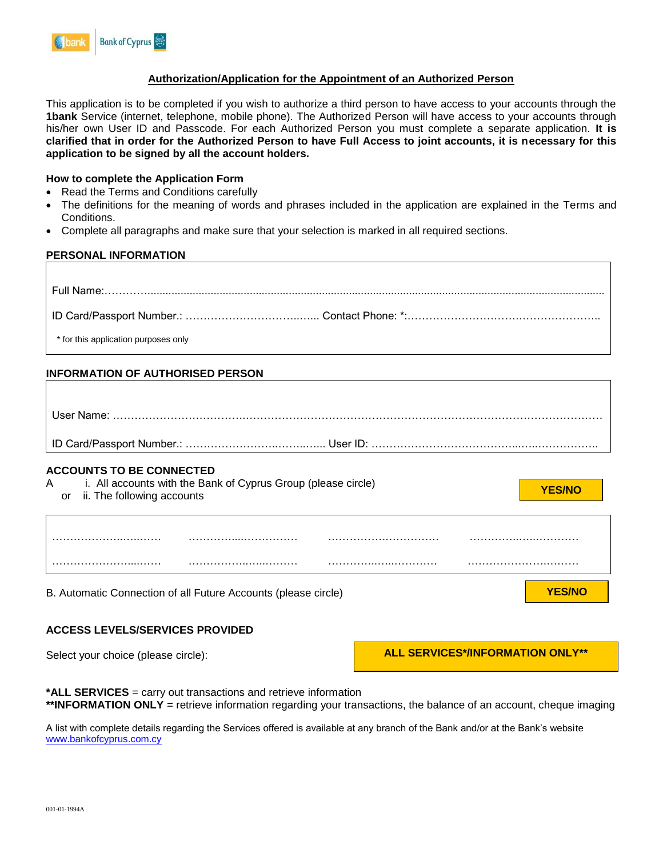# **Authorization/Application for the Appointment of an Authorized Person**

This application is to be completed if you wish to authorize a third person to have access to your accounts through the **1bank** Service (internet, telephone, mobile phone). The Authorized Person will have access to your accounts through his/her own User ID and Passcode. For each Authorized Person you must complete a separate application. **It is clarified that in order for the Authorized Person to have Full Access to joint accounts, it is necessary for this application to be signed by all the account holders.**

# **How to complete the Application Form**

- Read the Terms and Conditions carefully
- The definitions for the meaning of words and phrases included in the application are explained in the Terms and Conditions.
- Complete all paragraphs and make sure that your selection is marked in all required sections.

# **PERSONAL INFORMATION**

| * for this application purposes only                                                                                                   |                                         |
|----------------------------------------------------------------------------------------------------------------------------------------|-----------------------------------------|
| <b>INFORMATION OF AUTHORISED PERSON</b>                                                                                                |                                         |
|                                                                                                                                        |                                         |
|                                                                                                                                        |                                         |
|                                                                                                                                        |                                         |
| <b>ACCOUNTS TO BE CONNECTED</b><br>A i. All accounts with the Bank of Cyprus Group (please circle)<br>ii. The following accounts<br>or | <b>YES/NO</b>                           |
|                                                                                                                                        |                                         |
| B. Automatic Connection of all Future Accounts (please circle)                                                                         | <b>YES/NO</b>                           |
| <b>ACCESS LEVELS/SERVICES PROVIDED</b>                                                                                                 |                                         |
| Select your choice (please circle):                                                                                                    | <b>ALL SERVICES*/INFORMATION ONLY**</b> |

**\*ALL SERVICES** = carry out transactions and retrieve information **\*\*INFORMATION ONLY** = retrieve information regarding your transactions, the balance of an account, cheque imaging

A list with complete details regarding the Services offered is available at any branch of the Bank and/or at the Bank's website [www.bankofcyprus.com.cy](http://www.bankofcyprus.com.cy/)